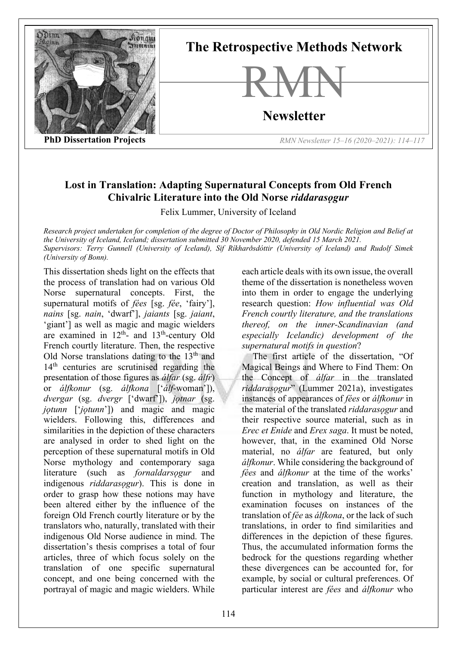

**The Retrospective Methods Network**



**Newsletter**

**PhD Dissertation Projects** *RMN Newsletter 15–16 (2020–2021): 114–117*

## **Lost in Translation: Adapting Supernatural Concepts from Old French Chivalric Literature into the Old Norse** *riddarasogur*

Felix Lummer, University of Iceland

*Research project undertaken for completion of the degree of Doctor of Philosophy in Old Nordic Religion and Belief at the University of Iceland, Iceland; dissertation submitted 30 November 2020, defended 15 March 2021. Supervisors: Terry Gunnell (University of Iceland), Sif Ríkharðsdóttir (University of Iceland) and Rudolf Simek (University of Bonn).*

This dissertation sheds light on the effects that the process of translation had on various Old Norse supernatural concepts. First, the supernatural motifs of *fées* [sg. *fée*, 'fairy'], *nains* [sg. *nain*, 'dwarf'], *jaiants* [sg. *jaiant*, 'giant'] as well as magic and magic wielders are examined in  $12<sup>th</sup>$ - and  $13<sup>th</sup>$ -century Old French courtly literature. Then, the respective Old Norse translations dating to the  $13<sup>th</sup>$  and 14<sup>th</sup> centuries are scrutinised regarding the presentation of those figures as *álfar* (sg. *álfr*) or *álfkonur* (sg. *álfkona* ['*álf*-woman']), *dvergar* (sg. *dvergr* ['dwarf']), *jǫtnar* (sg. *jǫtunn* ['*jǫtunn*']) and magic and magic wielders. Following this, differences and similarities in the depiction of these characters are analysed in order to shed light on the perception of these supernatural motifs in Old Norse mythology and contemporary saga literature (such as *fornaldarsogur* and indigenous *riddarasogur*). This is done in order to grasp how these notions may have been altered either by the influence of the foreign Old French courtly literature or by the translators who, naturally, translated with their indigenous Old Norse audience in mind. The dissertation's thesis comprises a total of four articles, three of which focus solely on the translation of one specific supernatural concept, and one being concerned with the portrayal of magic and magic wielders. While

each article deals with its own issue, the overall theme of the dissertation is nonetheless woven into them in order to engage the underlying research question: *How influential was Old French courtly literature, and the translations thereof, on the inner-Scandinavian (and especially Icelandic) development of the supernatural motifs in question*?

The first article of the dissertation, "Of Magical Beings and Where to Find Them: On the Concept of *álfar* in the translated *riddarasǫgur*" (Lummer 2021a), investigates instances of appearances of *fées* or *álfkonur* in the material of the translated *riddarasogur* and their respective source material, such as in *Erec et Enide* and *Erex saga*. It must be noted, however, that, in the examined Old Norse material, no *álfar* are featured, but only *álfkonur*. While considering the background of *fées* and *álfkonur* at the time of the works' creation and translation, as well as their function in mythology and literature, the examination focuses on instances of the translation of *fée* as *álfkona*, or the lack of such translations, in order to find similarities and differences in the depiction of these figures. Thus, the accumulated information forms the bedrock for the questions regarding whether these divergences can be accounted for, for example, by social or cultural preferences. Of particular interest are *fées* and *álfkonur* who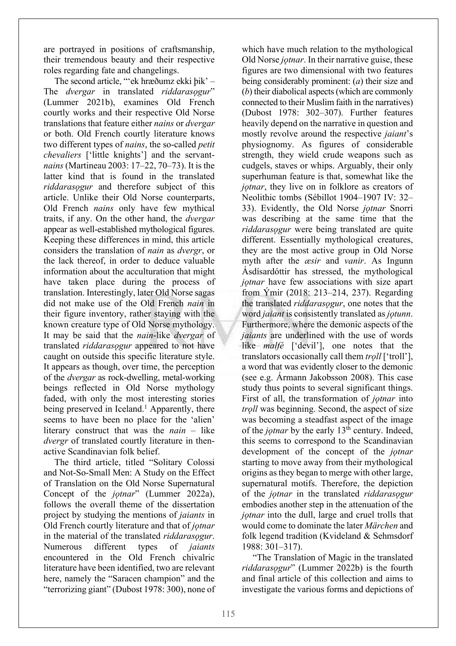are portrayed in positions of craftsmanship, their tremendous beauty and their respective roles regarding fate and changelings.

The second article, "'ek hræðumz ekki þik' – The *dvergar* in translated *riddarasogur*" (Lummer 2021b), examines Old French courtly works and their respective Old Norse translations that feature either *nains* or *dvergar* or both. Old French courtly literature knows two different types of *nains*, the so-called *petit chevaliers* ['little knights'] and the servant*nains* (Martineau 2003: 17–22, 70–73). It is the latter kind that is found in the translated *riddarasǫgur* and therefore subject of this article. Unlike their Old Norse counterparts, Old French *nains* only have few mythical traits, if any. On the other hand, the *dvergar* appear as well-established mythological figures. Keeping these differences in mind, this article considers the translation of *nain* as *dvergr*, or the lack thereof, in order to deduce valuable information about the acculturation that might have taken place during the process of translation. Interestingly, later Old Norse sagas did not make use of the Old French *nain* in their figure inventory, rather staying with the known creature type of Old Norse mythology. It may be said that the *nain*-like *dvergar* of translated *riddarasǫgur* appeared to not have caught on outside this specific literature style. It appears as though, over time, the perception of the *dvergar* as rock-dwelling, metal-working beings reflected in Old Norse mythology faded, with only the most interesting stories being preserved in Iceland.<sup>1</sup> Apparently, there seems to have been no place for the 'alien' literary construct that was the *nain* – like *dvergr* of translated courtly literature in thenactive Scandinavian folk belief.

The third article, titled "Solitary Colossi and Not-So-Small Men: A Study on the Effect of Translation on the Old Norse Supernatural Concept of the *jotnar*" (Lummer 2022a), follows the overall theme of the dissertation project by studying the mentions of *jaiants* in Old French courtly literature and that of *jǫtnar* in the material of the translated *riddarasogur*. Numerous different types of *jaiants* encountered in the Old French chivalric literature have been identified, two are relevant here, namely the "Saracen champion" and the "terrorizing giant" (Dubost 1978: 300), none of

which have much relation to the mythological Old Norse *jǫtnar*. In their narrative guise, these figures are two dimensional with two features being considerably prominent: (*a*) their size and (*b*) their diabolical aspects (which are commonly connected to their Muslim faith in the narratives) (Dubost 1978: 302–307). Further features heavily depend on the narrative in question and mostly revolve around the respective *jaiant*'s physiognomy. As figures of considerable strength, they wield crude weapons such as cudgels, staves or whips. Arguably, their only superhuman feature is that, somewhat like the *jotnar*, they live on in folklore as creators of Neolithic tombs (Sébillot 1904–1907 IV: 32– 33). Evidently, the Old Norse *jotnar* Snorri was describing at the same time that the *riddarasǫgur* were being translated are quite different. Essentially mythological creatures, they are the most active group in Old Norse myth after the *æsir* and *vanir*. As Ingunn Ásdísardóttir has stressed, the mythological *jotnar* have few associations with size apart from Ýmir (2018: 213–214, 237). Regarding the translated *riddarasǫgur*, one notes that the word *jaiant* is consistently translated as *jǫtunn*. Furthermore, where the demonic aspects of the *jaiants* are underlined with the use of words like *malfé* ['devil'], one notes that the translators occasionally call them *trǫll* ['troll'], a word that was evidently closer to the demonic (see e.g. Ármann Jakobsson 2008). This case study thus points to several significant things. First of all, the transformation of *jotnar* into *trǫll* was beginning. Second, the aspect of size was becoming a steadfast aspect of the image of the *jotnar* by the early 13<sup>th</sup> century. Indeed, this seems to correspond to the Scandinavian development of the concept of the *jǫtnar* starting to move away from their mythological origins as they began to merge with other large, supernatural motifs. Therefore, the depiction of the *jǫtnar* in the translated *riddarasǫgur* embodies another step in the attenuation of the *jǫtnar* into the dull, large and cruel trolls that would come to dominate the later *Märchen* and folk legend tradition (Kvideland & Sehmsdorf 1988: 301–317).

"The Translation of Magic in the translated *riddarasǫgur*" (Lummer 2022b) is the fourth and final article of this collection and aims to investigate the various forms and depictions of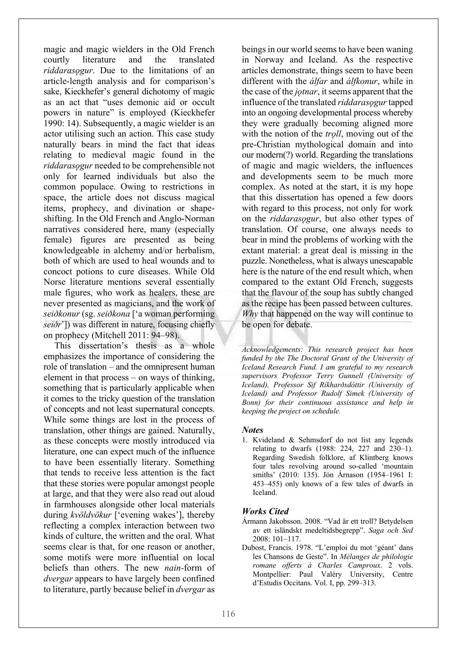magic and magic wielders in the Old French courtly literature and the translated *riddarasogur*. Due to the limitations of an article-length analysis and for comparison's sake, Kieckhefer's general dichotomy of magic as an act that "uses demonic aid or occult powers in nature" is employed (Kieckhefer 1990: 14). Subsequently, a magic wielder is an actor utilising such an action. This case study naturally bears in mind the fact that ideas relating to medieval magic found in the *riddarasogur* needed to be comprehensible not only for learned individuals but also the common populace. Owing to restrictions in space, the article does not discuss magical items, prophecy, and divination or shapeshifting. In the Old French and Anglo-Norman narratives considered here, many (especially female) figures are presented as being knowledgeable in alchemy and/or herbalism, both of which are used to heal wounds and to concoct potions to cure diseases. While Old Norse literature mentions several essentially male figures, who work as healers, these are never presented as magicians, and the work of *seiðkonur* (sg. *seiðkona* ['a woman performing *seiðr*']) was different in nature, focusing chiefly on prophecy (Mitchell 2011: 94–98).

This dissertation's thesis as a whole emphasizes the importance of considering the role of translation – and the omnipresent human element in that process – on ways of thinking, something that is particularly applicable when it comes to the tricky question of the translation of concepts and not least supernatural concepts. While some things are lost in the process of translation, other things are gained. Naturally, as these concepts were mostly introduced via literature, one can expect much of the influence to have been essentially literary. Something that tends to receive less attention is the fact that these stories were popular amongst people at large, and that they were also read out aloud in farmhouses alongside other local materials during *kvöldvökur* ['evening wakes'], thereby reflecting a complex interaction between two kinds of culture, the written and the oral. What seems clear is that, for one reason or another, some motifs were more influential on local beliefs than others. The new *nain-*form of *dvergar* appears to have largely been confined to literature, partly because belief in *dvergar* as

beings in our world seems to have been waning in Norway and Iceland. As the respective articles demonstrate, things seem to have been different with the *álfar* and *álfkonur*, while in the case of the *jotnar*, it seems apparent that the influence of the translated *riddarasogur* tapped into an ongoing developmental process whereby they were gradually becoming aligned more with the notion of the *troll*, moving out of the pre-Christian mythological domain and into our modern(?) world. Regarding the translations of magic and magic wielders, the influences and developments seem to be much more complex. As noted at the start, it is my hope that this dissertation has opened a few doors with regard to this process, not only for work on the *riddarasǫgur*, but also other types of translation. Of course, one always needs to bear in mind the problems of working with the extant material: a great deal is missing in the puzzle. Nonetheless, what is always unescapable here is the nature of the end result which, when compared to the extant Old French, suggests that the flavour of the soup has subtly changed as the recipe has been passed between cultures. *Why* that happened on the way will continue to be open for debate.

*Acknowledgements: This research project has been funded by the The Doctoral Grant of the University of Iceland Research Fund. I am grateful to my research supervisors Professor Terry Gunnell (University of Iceland), Professor Sif Ríkharðsdóttir (University of Iceland) and Professor Rudolf Simek (University of Bonn) for their continuous assistance and help in keeping the project on schedule.*

## *Notes*

1. Kvideland & Sehmsdorf do not list any legends relating to dwarfs (1988: 224, 227 and 230–1). Regarding Swedish folklore, af Klintberg knows four tales revolving around so-called 'mountain smiths' (2010: 135). Jón Árnason (1954–1961 I: 453–455) only knows of a few tales of dwarfs in Iceland.

## *Works Cited*

- Ármann Jakobsson. 2008. "Vad är ett troll? Betydelsen av ett isländskt medeltidsbegrepp". *Saga och Sed* 2008: 101–117.
- Dubost, Francis. 1978. "L'emploi du mot 'géant' dans les Chansons de Geste". In *Mélanges de philologie romane offerts à Charles Camproux*. 2 vols. Montpellier: Paul Valéry University, Centre d'Estudis Occitans. Vol. I, pp. 299–313.